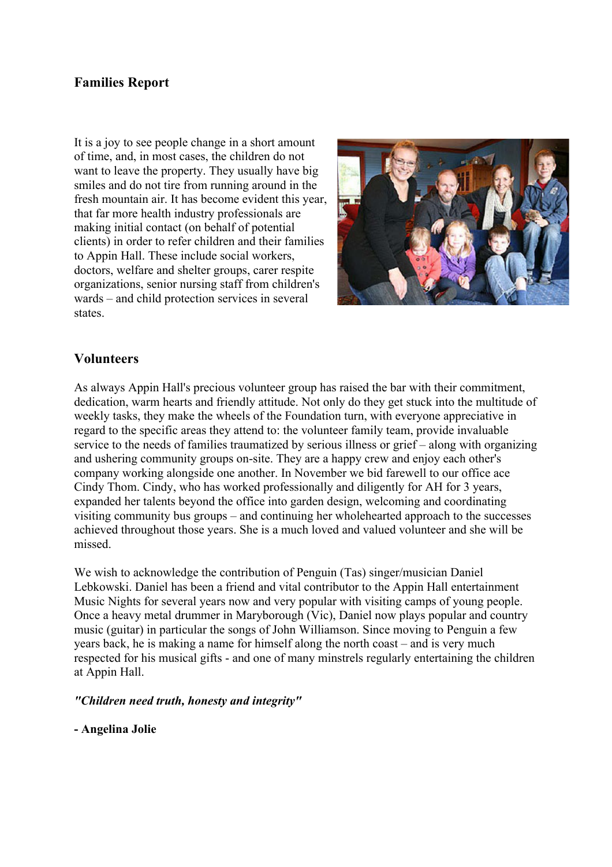### **Families Report**

It is a joy to see people change in a short amount of time, and, in most cases, the children do not want to leave the property. They usually have big smiles and do not tire from running around in the fresh mountain air. It has become evident this year, that far more health industry professionals are making initial contact (on behalf of potential clients) in order to refer children and their families to Appin Hall. These include social workers, doctors, welfare and shelter groups, carer respite organizations, senior nursing staff from children's wards – and child protection services in several states.



### **Volunteers**

As always Appin Hall's precious volunteer group has raised the bar with their commitment, dedication, warm hearts and friendly attitude. Not only do they get stuck into the multitude of weekly tasks, they make the wheels of the Foundation turn, with everyone appreciative in regard to the specific areas they attend to: the volunteer family team, provide invaluable service to the needs of families traumatized by serious illness or grief – along with organizing and ushering community groups on-site. They are a happy crew and enjoy each other's company working alongside one another. In November we bid farewell to our office ace Cindy Thom. Cindy, who has worked professionally and diligently for AH for 3 years, expanded her talents beyond the office into garden design, welcoming and coordinating visiting community bus groups – and continuing her wholehearted approach to the successes achieved throughout those years. She is a much loved and valued volunteer and she will be missed.

We wish to acknowledge the contribution of Penguin (Tas) singer/musician Daniel Lebkowski. Daniel has been a friend and vital contributor to the Appin Hall entertainment Music Nights for several years now and very popular with visiting camps of young people. Once a heavy metal drummer in Maryborough (Vic), Daniel now plays popular and country music (guitar) in particular the songs of John Williamson. Since moving to Penguin a few years back, he is making a name for himself along the north coast – and is very much respected for his musical gifts - and one of many minstrels regularly entertaining the children at Appin Hall.

*"Children need truth, honesty and integrity"*

#### **- Angelina Jolie**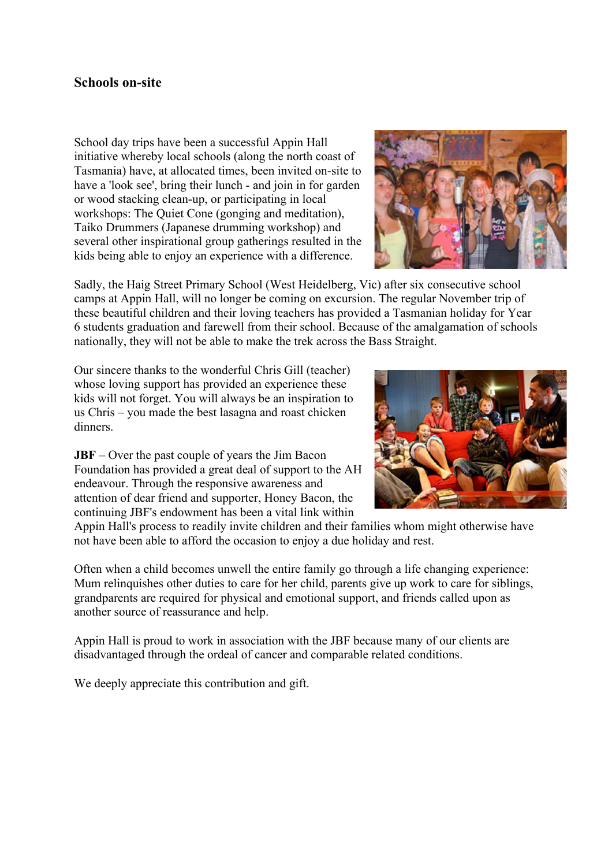### **Schools on-site**

School day trips have been a successful Appin Hall initiative whereby local schools (along the north coast of Tasmania) have, at allocated times, been invited on-site to have a 'look see', bring their lunch - and join in for garden or wood stacking clean-up, or participating in local workshops: The Quiet Cone (gonging and meditation), Taiko Drummers (Japanese drumming workshop) and several other inspirational group gatherings resulted in the kids being able to enjoy an experience with a difference.



Sadly, the Haig Street Primary School (West Heidelberg, Vic) after six consecutive school camps at Appin Hall, will no longer be coming on excursion. The regular November trip of these beautiful children and their loving teachers has provided a Tasmanian holiday for Year 6 students graduation and farewell from their school. Because of the amalgamation of schools nationally, they will not be able to make the trek across the Bass Straight.

Our sincere thanks to the wonderful Chris Gill (teacher) whose loving support has provided an experience these kids will not forget. You will always be an inspiration to us Chris – you made the best lasagna and roast chicken dinners.

**JBF** – Over the past couple of years the Jim Bacon Foundation has provided a great deal of support to the AH endeavour. Through the responsive awareness and attention of dear friend and supporter, Honey Bacon, the continuing JBF's endowment has been a vital link within



Appin Hall's process to readily invite children and their families whom might otherwise have not have been able to afford the occasion to enjoy a due holiday and rest.

Often when a child becomes unwell the entire family go through a life changing experience: Mum relinquishes other duties to care for her child, parents give up work to care for siblings, grandparents are required for physical and emotional support, and friends called upon as another source of reassurance and help.

Appin Hall is proud to work in association with the JBF because many of our clients are disadvantaged through the ordeal of cancer and comparable related conditions.

We deeply appreciate this contribution and gift.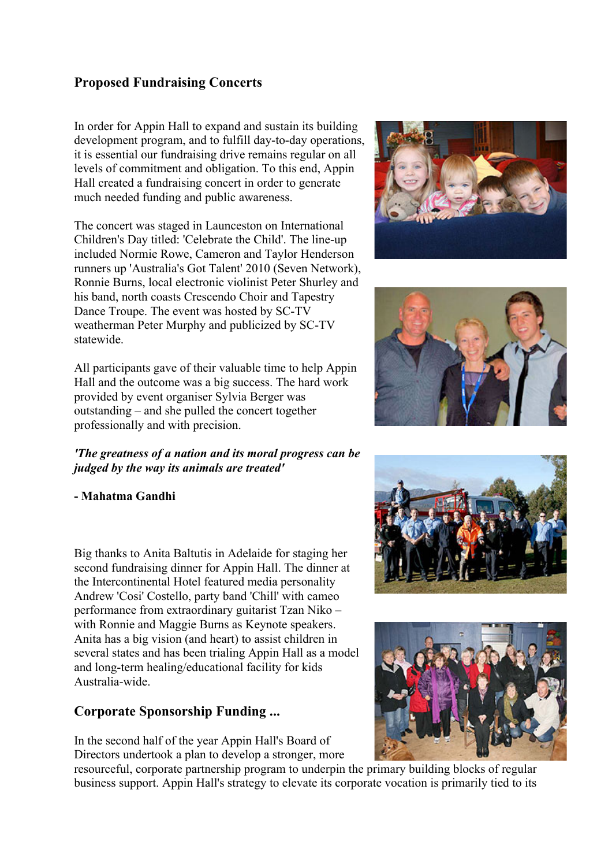## **Proposed Fundraising Concerts**

In order for Appin Hall to expand and sustain its building development program, and to fulfill day-to-day operations, it is essential our fundraising drive remains regular on all levels of commitment and obligation. To this end, Appin Hall created a fundraising concert in order to generate much needed funding and public awareness.

The concert was staged in Launceston on International Children's Day titled: 'Celebrate the Child'. The line-up included Normie Rowe, Cameron and Taylor Henderson runners up 'Australia's Got Talent' 2010 (Seven Network), Ronnie Burns, local electronic violinist Peter Shurley and his band, north coasts Crescendo Choir and Tapestry Dance Troupe. The event was hosted by SC-TV weatherman Peter Murphy and publicized by SC-TV statewide.

All participants gave of their valuable time to help Appin Hall and the outcome was a big success. The hard work provided by event organiser Sylvia Berger was outstanding – and she pulled the concert together professionally and with precision.

*'The greatness of a nation and its moral progress can be judged by the way its animals are treated'*

**- Mahatma Gandhi**

Big thanks to Anita Baltutis in Adelaide for staging her second fundraising dinner for Appin Hall. The dinner at the Intercontinental Hotel featured media personality Andrew 'Cosi' Costello, party band 'Chill' with cameo performance from extraordinary guitarist Tzan Niko – with Ronnie and Maggie Burns as Keynote speakers. Anita has a big vision (and heart) to assist children in several states and has been trialing Appin Hall as a model and long-term healing/educational facility for kids Australia-wide.

# **Corporate Sponsorship Funding ...**

In the second half of the year Appin Hall's Board of Directors undertook a plan to develop a stronger, more

resourceful, corporate partnership program to underpin the primary building blocks of regular business support. Appin Hall's strategy to elevate its corporate vocation is primarily tied to its







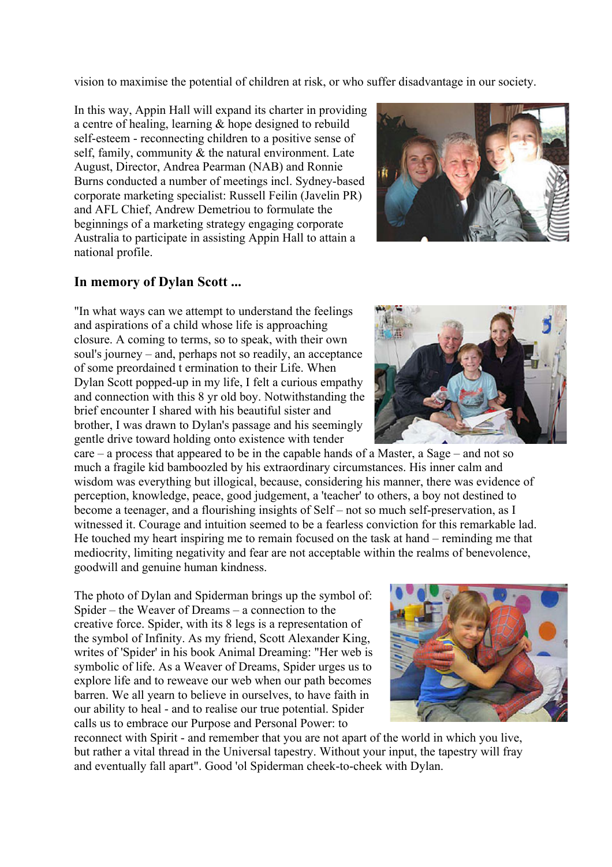vision to maximise the potential of children at risk, or who suffer disadvantage in our society.

In this way, Appin Hall will expand its charter in providing a centre of healing, learning & hope designed to rebuild self-esteem - reconnecting children to a positive sense of self, family, community  $\&$  the natural environment. Late August, Director, Andrea Pearman (NAB) and Ronnie Burns conducted a number of meetings incl. Sydney-based corporate marketing specialist: Russell Feilin (Javelin PR) and AFL Chief, Andrew Demetriou to formulate the beginnings of a marketing strategy engaging corporate Australia to participate in assisting Appin Hall to attain a national profile.

### **In memory of Dylan Scott ...**

"In what ways can we attempt to understand the feelings and aspirations of a child whose life is approaching closure. A coming to terms, so to speak, with their own soul's journey – and, perhaps not so readily, an acceptance of some preordained t ermination to their Life. When Dylan Scott popped-up in my life, I felt a curious empathy and connection with this 8 yr old boy. Notwithstanding the brief encounter I shared with his beautiful sister and brother, I was drawn to Dylan's passage and his seemingly gentle drive toward holding onto existence with tender

care – a process that appeared to be in the capable hands of a Master, a Sage – and not so much a fragile kid bamboozled by his extraordinary circumstances. His inner calm and wisdom was everything but illogical, because, considering his manner, there was evidence of perception, knowledge, peace, good judgement, a 'teacher' to others, a boy not destined to become a teenager, and a flourishing insights of Self – not so much self-preservation, as I witnessed it. Courage and intuition seemed to be a fearless conviction for this remarkable lad. He touched my heart inspiring me to remain focused on the task at hand – reminding me that mediocrity, limiting negativity and fear are not acceptable within the realms of benevolence, goodwill and genuine human kindness.

The photo of Dylan and Spiderman brings up the symbol of: Spider – the Weaver of Dreams – a connection to the creative force. Spider, with its 8 legs is a representation of the symbol of Infinity. As my friend, Scott Alexander King, writes of 'Spider' in his book Animal Dreaming: "Her web is symbolic of life. As a Weaver of Dreams, Spider urges us to explore life and to reweave our web when our path becomes barren. We all yearn to believe in ourselves, to have faith in our ability to heal - and to realise our true potential. Spider calls us to embrace our Purpose and Personal Power: to

reconnect with Spirit - and remember that you are not apart of the world in which you live, but rather a vital thread in the Universal tapestry. Without your input, the tapestry will fray and eventually fall apart". Good 'ol Spiderman cheek-to-cheek with Dylan.